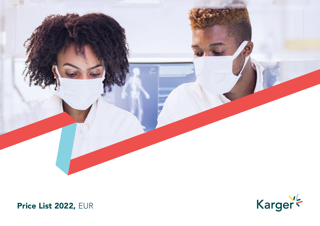



Price List 2022, EUR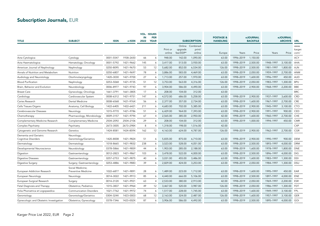# Subscription Journals, EUR

| <b>TITLE</b>                                  | <b>SUBJECT</b>                          | <b>ISSN</b> | e-ISSN    | VOL.<br>IN<br>2022 | <b>ISSUES</b><br><b>PER</b><br><b>YEAR</b> |                    |                     | <b>SUBSCRIPTION</b>                 | <b>POSTAGE &amp;</b><br><b>HANDLING</b> |           | eJOURNAL<br><b>BACKFILE</b> |           | <b>eJOURNAL</b><br><b>ARCHIVE</b> | <b>URL</b>              |
|-----------------------------------------------|-----------------------------------------|-------------|-----------|--------------------|--------------------------------------------|--------------------|---------------------|-------------------------------------|-----------------------------------------|-----------|-----------------------------|-----------|-----------------------------------|-------------------------|
|                                               |                                         |             |           |                    |                                            | Print or<br>online | upgrade<br>fee/DDP* | Online Combined<br>print/<br>online | Europe                                  | Years     | Price                       | Years     | Price                             | www.<br>karger.<br>com/ |
| Acta Cytologica                               | Cytology                                | 0001-5547   | 1938-2650 | 66                 | 6                                          | 948.00             | 142.00              | 1,090.00                            | 63.00                                   | 1996-2019 | 1,150.00                    |           |                                   | ACY                     |
| Acta Haematologica                            | Hematology; Oncology                    | 0001-5792   | 1421-9662 | 145                | 6                                          | 3,417.00           | 513.00              | 3,930.00                            | 63.00                                   | 1998-2019 | 2,500.00                    | 1948-1997 | 3,100.00                          | AHA                     |
| American Journal of Nephrology                | Nephrology                              | 0250-8095   | 1421-9670 | 53                 | 12                                         | 5,682.00           | 852.00              | 6,534.00                            | 126.00                                  | 1998-2019 | 2,500.00                    | 1981-1997 | 1,800.00                          | AJN                     |
| Annals of Nutrition and Metabolism            | Nutrition                               | 0250-6807   | 1421-9697 | 78                 | 6                                          | 3,886.00           | 583.00              | 4,469.00                            | 63.00                                   | 1998-2019 | 2,050.00                    | 1959-1997 | 2,700.00                          | <b>ANM</b>              |
| Audiology and Neurotology                     | Otorhinolaryngology                     | 1420-3030   | 1421-9700 | 27                 | 6                                          | 1,713.00           | 257.00              | 1,970.00                            | 63.00                                   | 1998-2019 | 1,600.00                    | 1996-1997 | 450.00                            | <b>AUD</b>              |
| <b>Blood Purification</b>                     | Nephrology                              | 0253-5068   | 1421-9735 | 51                 | 12                                         | 3,753.00           | 563.00              | 4,316.00                            | 126.00                                  | 1998-2019 | 2,050.00                    | 1983-1997 | 1,300.00                          | <b>BPU</b>              |
| Brain, Behavior and Evolution                 | Neurobiology                            | 0006-8977   | 1421-9743 | 97                 | 6                                          | 3,904.00           | 586.00              | 4,490.00                            | 63.00                                   | 1998-2019 | 2,900.00                    | 1968-1997 | 2,200.00                          | BBE                     |
| <b>Breast Care</b>                            | Gynecology; Oncology                    | 1661-3791   | 1661-3805 | 17                 | 6                                          | 208.00             | 104.00              | 312.00                              | 63.00                                   |           |                             |           |                                   | <b>BRC</b>              |
| Cardiology                                    | Cardiovascular System                   | 0008-6312   | 1421-9751 | 147                | 6                                          | 4,572.00           | 686.00              | 5,258.00                            | 63.00                                   | 1998-2019 | 2,900.00                    | 1937-1997 | 3,600.00                          | CRD                     |
| Caries Research                               | Dental Medicine                         | 0008-6568   | 1421-976X | 56                 | 6                                          | 2,377.00           | 357.00              | 2,734.00                            | 63.00                                   | 1998-2019 | 1,600.00                    | 1967-1997 | 2,700.00                          | CRE                     |
| Cells Tissues Organs                          | Anatomy; Cell Biology                   | 1422-6405   | 1422-6421 | 211                | 6                                          | 4,683.00           | 702.00              | 5,385.00                            | 63.00                                   | 1998-2019 | 2,900.00                    | 1945-1997 | 3,100.00                          | <b>CTO</b>              |
| Cerebrovascular Diseases                      | Neurology                               | 1015-9770   | 1421-9786 | 51                 | 6                                          | 6,429.00           | 964.00              | 7,393.00                            | 63.00                                   | 1998-2019 | 2,900.00                    | 1991-1997 | 900.00                            | CED                     |
| Chemotherapy                                  | Pharmacology; Microbiology              | 0009-3157   | 1421-9794 | 67                 | 4                                          | 2,565.00           | 385.00              | 2,950.00                            | 42.00                                   | 1998-2019 | 1,600.00                    | 1960-1997 | 2,700.00                          | <b>CHE</b>              |
| Complementary Medicine Research               | Complementary Medicine                  | 2504-2092   | 2504-2106 | 29                 | 6                                          | 208.00             | 104.00              | 312.00                              | 63.00                                   | 1998-2019 | 1,000.00                    | 1994-1997 | 450.00                            | <b>CMR</b>              |
| Complex Psychiatry                            | Psychiatry                              | 2673-3005   | 2673-298X | 8                  | $\overline{4}$                             | 1,318.00           | 198.00              | 1,516.00                            | 42.00                                   |           |                             |           |                                   | <b>CXP</b>              |
| Cytogenetic and Genome Research               | Genetics                                | 1424-8581   | 1424-859X | 162                | 12                                         | 4,163.00           | 624.00              | 4,787.00                            | 126.00                                  | 1998-2019 | 2,900.00                    | 1962-1997 | 2,700.00                          | <b>CGR</b>              |
| Dementia and Geriatric<br>Cognitive Disorders | Neurology;<br>Gerontology/Geriatrics    | 1420-8008   | 1421-9824 | 51                 | 6                                          | 5,835.00           | 875.00              | 6.710.00                            | 63.00                                   | 1998-2019 | 2,900.00                    | 1990-1997 | 900.00                            | <b>DEM</b>              |
| Dermatology                                   | Dermatology                             | 1018-8665   | 1421-9832 | 238                | 6                                          | 3,523.00           | 528.00              | 4,051.00                            | 63.00                                   | 1998-2019 | 2,500.00                    | 1893-1997 | 4,000.00                          | <b>DRM</b>              |
| Developmental Neuroscience                    | Neurobiology                            | 0378-5866   | 1421-9859 | 44                 | 6                                          | 1,903.00           | 285.00              | 2,188.00                            | 63.00                                   | 1998-2019 | 1,600.00                    | 1978-1997 | 1,800.00                          | <b>DNE</b>              |
| Digestion                                     | Gastroenterology                        | 0012-2823   | 1421-9867 | 103                | 6                                          | 3,478.00           | 522.00              | 4,000.00                            | 63.00                                   | 1998-2019 | 2,500.00                    | 1896-1997 | 4,000.00                          | <b>DIG</b>              |
| Digestive Diseases                            | Gastroenterology                        | 0257-2753   | 1421-9875 | 40                 | 6                                          | 3,031.00           | 455.00              | 3,486.00                            | 63.00                                   | 1998-2019 | 1,600.00                    | 1983-1997 | 1,300.00                          | <b>DDI</b>              |
| Digestive Surgery                             | Surgery; Gastroenterology               | 0253-4886   | 1421-9883 | 39                 | 6                                          | 2,829.00           | 424.00              | 3,253.00                            | 63.00                                   | 1998-2019 | 2,050.00                    | 1984-1997 | 1,300.00                          | <b>DSU</b>              |
| European Addiction Research                   | Social Medicine;<br>Preventive Medicine | 1022-6877   | 1421-9891 | 28                 | 6                                          | 1,489.00           | 223.00              | 1,712.00                            | 63.00                                   | 1998-2019 | 1,600.00                    | 1995-1997 | 450.00                            | EAR                     |
| European Neurology                            | Neurology                               | 0014-3022   | 1421-9913 | 85                 | 6                                          | 4,440.00           | 666.00              | 5,106.00                            | 63.00                                   | 1998-2019 | 2,500.00                    | 1897-1997 | 4,000.00                          | <b>ENE</b>              |
| European Surgical Research                    | Surgery                                 | 0014-312X   | 1421-9921 | 63                 | 4                                          | 2,533.00           | 380.00              | 2,913.00                            | 42.00                                   | 1998-2019 | 2,050.00                    | 1969-1997 | 2,200.00                          | ESR                     |
| Fetal Diagnosis and Therapy                   | Obstetrics; Pediatrics                  | 1015-3837   | 1421-9964 | 49                 | 12                                         | 3,467.00           | 520.00              | 3,987.00                            | 126.00                                  | 1998-2019 | 2,050.00                    | 1986-1997 | 1,300.00                          | <b>FDT</b>              |
| Folia Phoniatrica et Logopaedica              | <b>Communication Disorders</b>          | 1021-7762   | 1421-9972 | 74                 | 6                                          | 1,517.00           | 228.00              | 1,745.00                            | 63.00                                   | 1998-2019 | 1,600.00                    | 1949-1997 | 3,100.00                          | FPL                     |
| Gerontology                                   | Gerontology/Geriatrics                  | 0304-324X   | 1423-0003 | 68                 | 12                                         | 2,163.00           | 324.00              | 2,487.00                            | 126.00                                  | 1998-2019 | 1,600.00                    | 1957-1997 | 3,100.00                          | <b>GER</b>              |
| Gynecologic and Obstetric Investigation       | Obstetrics; Gynecology                  | 0378-7346   | 1423-002X | 87                 | 6                                          | 3,906.00           | 586.00              | 4,492.00                            | 63.00                                   | 1998-2019 | 2,500.00                    | 1895-1997 | 4,000.00                          | <b>GOI</b>              |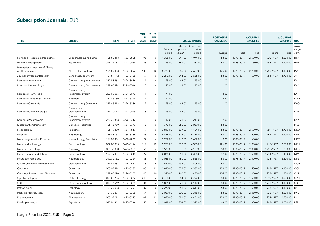# Subscription Journals, EUR

| TITLE                                               | <b>SUBJECT</b>                      | <b>ISSN</b> | e-ISSN    | <b>VOL. ISSUES</b><br>IN<br>2022 | <b>PER</b><br><b>YEAR</b> |                    |                     | <b>SUBSCRIPTION</b>                 | <b>POSTAGE &amp;</b><br><b>HANDLING</b> |           | <b>eJOURNAL</b><br><b>BACKFILE</b> |           | <b>eJOURNAL</b><br><b>ARCHIVE</b> | <b>URL</b>              |
|-----------------------------------------------------|-------------------------------------|-------------|-----------|----------------------------------|---------------------------|--------------------|---------------------|-------------------------------------|-----------------------------------------|-----------|------------------------------------|-----------|-----------------------------------|-------------------------|
|                                                     |                                     |             |           |                                  |                           | Print or<br>online | upgrade<br>fee/DDP* | Online Combined<br>print/<br>online | Europe                                  | Years     | Price                              | Years     | Price                             | www.<br>karger.<br>com/ |
| Hormone Research in Paediatrics                     | Endocrinology; Pediatrics           | 1663-2818   | 1663-2826 | 95                               | 6                         | 4,325.00           | 649.00              | 4,974.00                            | 63.00                                   | 1998-2019 | 2,500.00                           | 1970-1997 | 2,200.00                          | <b>HRP</b>              |
| Human Development                                   | Psychology                          | 0018-716X   | 1423-0054 | 66                               | 6                         | 1,115.00           | 167.00              | 1,282.00                            | 63.00                                   | 1998-2019 | 1,150.00                           | 1958-1997 | 2,700.00                          | <b>HDE</b>              |
| International Archives of Allergy<br>and Immunology | Allergy; Immunology                 | 1018-2438   | 1423-0097 | 183                              | 12                        | 5,773.00           | 866.00              | 6,639.00                            | 126.00                                  | 1998-2019 | 2,900.00                           | 1950-1997 | 3,100.00                          | IAA                     |
| Journal of Vascular Research                        | Cardiovascular System               | 1018-1172   | 1423-0135 | 59                               | 6                         | 2,292.00           | 344.00              | 2,636.00                            | 63.00                                   | 1998-2019 | 1,600.00                           | 1964-1997 | 2,700.00                          | JVR                     |
| Kompass Autoimmun                                   | General Med.; Immunology            | 2624-8468   | 2624-8476 | $\overline{4}$                   | $\overline{4}$            | 95.00              | 48.00               | 143.00                              | 11.00                                   |           |                                    |           |                                   | KAI                     |
| Kompass Dermatologie                                | General Med.; Dermatology           | 2296-5424   | 2296-536X | 10                               | $\overline{4}$            | 95.00              | 48.00               | 143.00                              | 11.00                                   |           |                                    |           |                                   | <b>KKD</b>              |
| Kompass Neumología                                  | General Med.;<br>Respiratory System | 2624-9065   | 2624-9073 | $\overline{4}$                   | 3                         | 71.00              |                     |                                     | 8.00                                    |           |                                    |           |                                   | <b>KXN</b>              |
| Kompass Nutrition & Dietetics                       | Nutrition                           | 2673-5180   | 2673-5199 | $\overline{\phantom{0}}$         | $\overline{\phantom{0}}$  | 47.00              |                     |                                     | 5.50                                    |           |                                    |           |                                   | <b>KND</b>              |
| Kompass Onkologie                                   | General Med.; Oncology              | 2296-5416   | 2296-5386 | $\mathsf{Q}$                     | $\overline{4}$            | 95.00              | 48.00               | 143.00                              | 11.00                                   |           |                                    |           |                                   | <b>KKO</b>              |
| Kompass Ophthalmologie                              | General Med.;<br>Ophthalmology      | 2297-0118   | 2297-0045 | 8                                | 4                         | 95.00              | 48.00               | 143.00                              | 11.00                                   |           |                                    |           |                                   | <b>KOP</b>              |
| Kompass Pneumologie                                 | General Med.;<br>Respiratory System | 2296-0368   | 2296-0317 | 10                               | 6                         | 142.00             | 71.00               | 213.00                              | 17.00                                   |           |                                    |           |                                   | <b>KKP</b>              |
| Molecular Syndromology                              | Genetics; Pediatrics                | 1661-8769   | 1661-8777 | 13                               | 6                         | 1,773.00           | 266.00              | 2,039.00                            | 63.00                                   |           |                                    |           |                                   | <b>MSY</b>              |
| Neonatology                                         | Pediatrics                          | 1661-7800   | 1661-7819 | 119                              | 6                         | 3,847.00           | 577.00              | 4,424.00                            | 63.00                                   | 1998-2019 | 2,500.00                           | 1959-1997 | 2,700.00                          | <b>NEO</b>              |
| Nephron                                             | Nephrology                          | 1660-8151   | 2235-3186 | 146                              | 6                         | 5,856.00           | 878.00              | 6,734.00                            | 63.00                                   | 1998-2019 | 2,900.00                           | 1964-1997 | 2,700.00                          | <b>NEF</b>              |
| Neurodegenerative Diseases                          | Neurobiology; Psychiatry            | 1660-2854   | 1660-2862 | 22                               | $\overline{4}$            | 2,269.00           | 340.00              | 2,609.00                            | 42.00                                   | 2004-2018 | 1,600.00                           |           |                                   | <b>NDD</b>              |
| Neuroendocrinology                                  | Endocrinology                       | 0028-3835   | 1423-0194 | 112                              | 12                        | 3,981.00           | 597.00              | 4,578.00                            | 126.00                                  | 1998-2019 | 2,900.00                           | 1965-1997 | 2,700.00                          | <b>NEN</b>              |
| Neuroepidemiology                                   | Neurology                           | 0251-5350   | 1423-0208 | 56                               | 6                         | 3,573.00           | 536.00              | 4,109.00                            | 63.00                                   | 1998-2019 | 2,050.00                           | 1982-1997 | 1,800.00                          | <b>NED</b>              |
| Neuroimmunomodulation                               | Endocrinology                       | 1021-7401   | 1423-0216 | 29                               | $\overline{4}$            | 2,075.00           | 311.00              | 2,386.00                            | 42.00                                   | 1998-2019 | 1,600.00                           | 1994-1997 | 450.00                            | <b>NIM</b>              |
| Neuropsychobiology                                  | Neurobiology                        | 0302-282X   | 1423-0224 | 81                               | 6                         | 3,065.00           | 460.00              | 3,525.00                            | 63.00                                   | 1998-2019 | 2,500.00                           | 1975-1997 | 2,200.00                          | <b>NPS</b>              |
| Ocular Oncology and Pathology                       | Ophthalmology                       | 2296-4681   | 2296-4657 | 8                                | 6                         | 1,570.00           | 236.00              | 1,806.00                            | 63.00                                   |           |                                    |           |                                   | <b>OOP</b>              |
| Oncology                                            | Oncology                            | 0030-2414   | 1423-0232 | 100                              | 12                        | 3,810.00           | 572.00              | 4,382.00                            | 126.00                                  | 1998-2019 | 2,500.00                           | 1948-1997 | 3,100.00                          | OCL                     |
| Oncology Research and Treatment                     | Oncology                            | 2296-5270   | 2296-5262 | 45                               | 10                        | 320.00             | 160.00              | 480.00                              | 105.00                                  | 1998-2019 | 1,050.00                           | 1978-1997 | 1,800.00                          | ORT                     |
| Ophthalmologica                                     | Ophthalmology                       | 0030-3755   | 1423-0267 | 245                              | 6                         | 2,428.00           | 364.00              | 2,792.00                            | 63.00                                   | 1998-2019 | 1,600.00                           | 1899-1997 | 4,000.00                          | OPH                     |
| ORL                                                 | Otorhinolaryngology                 | 0301-1569   | 1423-0275 | 84                               | 6                         | 1,861.00           | 279.00              | 2,140.00                            | 63.00                                   | 1998-2019 | 1,600.00                           | 1938-1997 | 3,100.00                          | ORL                     |
| Pathobiology                                        | Pathology                           | 1015-2008   | 1423-0291 | 89                               | 6                         | 2,270.00           | 341.00              | 2,611.00                            | 63.00                                   | 1998-2019 | 1,600.00                           | 1938-1997 | 3,100.00                          | PAT                     |
| Pediatric Neurosurgery                              | Neurosurgery                        | 1016-2291   | 1423-0305 | 57                               | 6                         | 2,039.00           | 306.00              | 2,345.00                            | 63.00                                   | 1998-2019 | 2,050.00                           | 1975-1997 | 2,200.00                          | <b>PNE</b>              |
| Pharmacology                                        | Pharmacology                        | 0031-7012   | 1423-0313 | 107                              | 12                        | 3,870.00           | 581.00              | 4,451.00                            | 126.00                                  | 1998-2019 | 2,900.00                           | 1959-1997 | 2,700.00                          | PHA                     |
| Psychopathology                                     | Psychiatry                          | 0254-4962   | 1423-033X | 55                               | 6                         | 2,019.00           | 303.00              | 2,322.00                            | 63.00                                   | 1998-2019 | 1,600.00                           | 1968-1997 | 4,000.00                          | <b>PSP</b>              |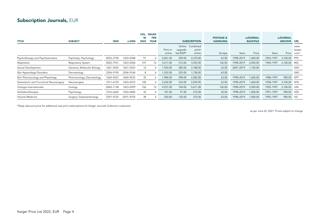## Subscription Journals, EUR

| <b>TITLE</b>                             | <b>SUBJECT</b>              | ISSN      | e-ISSN    | IN<br>2022 | <b>VOL. ISSUES</b><br><b>PER</b><br><b>YEAR</b> |                    |                     | <b>SUBSCRIPTION</b>                 | <b>POSTAGE &amp;</b><br><b>HANDLING</b> |           | <b>eJOURNAL</b><br><b>BACKFILE</b> | <b>eJOURNAL</b><br><b>ARCHIVE URL</b> |              |                         |
|------------------------------------------|-----------------------------|-----------|-----------|------------|-------------------------------------------------|--------------------|---------------------|-------------------------------------|-----------------------------------------|-----------|------------------------------------|---------------------------------------|--------------|-------------------------|
|                                          |                             |           |           |            |                                                 | Print or<br>online | upgrade<br>fee/DDP* | Online Combined<br>print/<br>online | Europe                                  | Years     | Price                              | Years                                 | Price        | www.<br>karger.<br>com/ |
| Psychotherapy and Psychosomatics         | Psychiatry; Psychology      | 0033-3190 | 1423-0348 | 91         | 6                                               | 2,061.00           | 309.00              | 2,370.00                            | 63.00                                   | 1998-2019 | 1,600.00                           | 1953-1997                             | 3,100.00     | <b>PPS</b>              |
| Respiration                              | Respiratory System          | 0025-7931 | 1423-0356 | 101        | 12                                              | 3,411.00           | 512.00              | 3,923.00                            | 126.00                                  | 1998-2019 | 2,050.00                           | 1944-1997                             | 3,100.00     | <b>RES</b>              |
| Sexual Development                       | Genetics; Molecular Biology | 1661-5425 | 1661-5433 | 16         | 6                                               | 1,903.00           | 285.00              | 2,188.00                            | 63.00                                   | 2007-2019 | 1,150.00                           |                                       |              | SXD                     |
| Skin Appendage Disorders                 | Dermatology                 | 2296-9195 | 2296-9160 | 8          | 6                                               | 1,529.00           | 229.00              | 1,758.00                            | 63.00                                   |           |                                    |                                       |              | SAD                     |
| Skin Pharmacology and Physiology         | Pharmacology; Dermatology   | 1660-5527 | 1660-5535 | 35         | <sup>6</sup>                                    | 1,984.00           | 298.00              | 2,282.00                            | 63.00                                   | 1998-2019 | 1,600.00                           | 1988-1997                             | 900.00       | SPP                     |
| Stereotactic and Functional Neurosurgery | Neurosurgery                | 1011-6125 | 1423-0372 | 100        | 6                                               | 2,222.00           | 333.00              | 2,555.00                            | 63.00                                   | 1998-2019 | 1,600.00                           | 1938-1997                             | 3,100.00 SFN |                         |
| Urologia Internationalis                 | Urology                     | 0042-1138 | 1423-0399 | 106        | 12                                              | 4,931.00           | 740.00              | 5,671.00                            | 126.00                                  | 1998-2019 | 2,900.00                           | 1955-1997                             | 3,100.00 UIN |                         |
| Verhaltenstherapie                       | Psychology                  | 1016-6262 | 1423-0402 | 32         | 4                                               | 181.00             | 91.00               | 272.00                              | 42.00                                   | 1998-2019 | 1,000.00                           | 1991-1997                             | 900.00 VER   |                         |
| Visceral Medicine                        | Surgery; Gastroenterology   | 2297-4725 | 2297-475X | 38         | 6                                               | 250.00             | 125.00              | 375.00                              | 63.00                                   | 1998-2019 | 1,000.00                           | 1992-1997                             | 900.00 VIS   |                         |

\*Deep discount price for additional new print subscriptions for Karger Journals Collection customers

as per June 25, 2021. Prices subject to change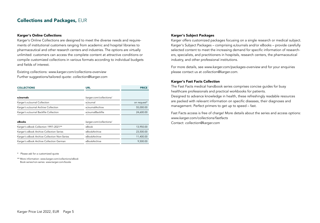### Collections and Packages, EUR

### Karger's Online Collections

Karger's Online Collections are designed to meet the diverse needs and requirements of institutional customers ranging from academic and hospital libraries to pharmaceutical and other research centers and industries. The options are virtually unlimited: customers can access the complete content at attractive conditions or compile customized collections in various formats according to individual budgets and fields of interest.

Existing collections: *www.karger.com/collections-overview* Further suggestions/tailored quote: *collection@karger.com*

| <b>COLLECTIONS</b>                           | <b>URL</b>              | <b>PRICE</b> |
|----------------------------------------------|-------------------------|--------------|
|                                              |                         |              |
| eJournals                                    | karger.com/collections/ |              |
| Karger's eJournal Collection                 | e.Journal               | on request*  |
| Karger's eJournal Archive Collection         | e.JournalArchive        | 55,000.00    |
| Karger's eJournal Backfile Collection        | e.JournalBackfile       | 24,600.00    |
|                                              |                         |              |
| eBooks                                       | karger.com/collections/ |              |
| Karger's eBook Collection 1997-2021**        | eBook                   | 13,950.00    |
| Karger's eBook Archive Collection Series     | eBookArchive            | 23,500.00    |
| Karger's eBook Archive Collection Non-Series | eBookArchive            | 11,400.00    |
| Karger's eBook Archive Collection German     | eBookArchive            | 9,500.00     |

\* Please ask for a customized quote

\*\* More information: *www.karger.com/collections/eBook*  Book series/non-series: *www.karger.com/books*

### Karger's Subject Packages

Karger offers customized packages focusing on a single research or medical subject. Karger's Subject Packages – comprising eJournals and/or eBooks – provide carefully selected content to meet the increasing demand for specific information of researchers, specialists, and practitioners in hospitals, research centers, the pharmaceutical industry, and other professional institutions.

For more details, see *www.karger.com/packages-overview* and for your enquiries please contact us at *collection@karger.com.*

#### Karger's Fast Facts Collection

The Fast Facts medical handbook series comprises concise guides for busy healthcare professionals and practical workbooks for patients. Designed to advance knowledge in health, these refreshingly readable resources are packed with relevant information on specific diseases, their diagnoses and management. Perfect primers to get up to speed – fast.

Fast Facts access is free of charge! More details about the series and access options: *www.karger.com/collections/fastfacts* Contact: *collection@karger.com*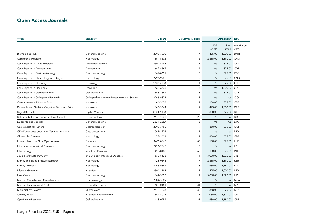# Open Access Journals

| <b>TITLE</b>                                     | <b>SUBJECT</b>                               | e-ISSN    | <b>VOLUME IN 2022</b> |                 | APC 2022* URL    |                     |
|--------------------------------------------------|----------------------------------------------|-----------|-----------------------|-----------------|------------------|---------------------|
|                                                  |                                              |           |                       | Full<br>article | Short<br>article | www.karger.<br>com/ |
| <b>Biomedicine Hub</b>                           | General Medicine                             | 2296-6870 | $\overline{7}$        | 1,425.00        | 1,000.00         | <b>BMH</b>          |
| Cardiorenal Medicine                             | Nephrology                                   | 1664-5502 | 12                    | 2,365.00        | 1,390.00         | <b>CRM</b>          |
| Case Reports in Acute Medicine                   | Accident Medicine                            | 2504-5288 | 5                     | n/a             | 875.00           | CRA                 |
| Case Reports in Dermatology                      | Dermatology                                  | 1662-6567 | 14                    | n/a             | 875.00           | CDE                 |
| Case Reports in Gastroenterology                 | Gastroenterology                             | 1662-0631 | 16                    | n/a             | 875.00           | <b>CRG</b>          |
| Case Reports in Nephrology and Dialysis          | Nephrology                                   | 2296-9705 | 12                    | n/a             | 875.00           | <b>CND</b>          |
| Case Reports in Neurology                        | Neurology                                    | 1662-680X | 14                    | n/a             | 875.00           | <b>CRN</b>          |
| Case Reports in Oncology                         | Oncology                                     | 1662-6575 | 15                    | n/a             | 1,000.00         | <b>CRO</b>          |
| Case Reports in Ophthalmology                    | Ophthalmology                                | 1663-2699 | 13                    | n/a             | 875.00           | COP                 |
| Case Reports in Orthopedic Research              | Orthopedics; Surgery; Musculoskeletal System | 2296-9373 | 5                     | n/a             | n/a              | CIO                 |
| Cerebrovascular Diseases Extra                   | Neurology                                    | 1664-5456 | 12                    | 1,150.00        | 875.00           | CEE                 |
| Dementia and Geriatric Cognitive Disorders Extra | Neurology                                    | 1664-5464 | 12                    | 1,425.00        | 1,000.00         | DEE                 |
| Digital Biomarkers                               | Digital Medicine                             | 2504-110X | 6                     | 850.00          | 675.00           | <b>DIB</b>          |
| Dubai Diabetes and Endocrinology Journal         | Endocrinology                                | 2673-1738 | 28                    | n/a             | n/a              | <b>DDE</b>          |
| Dubai Medical Journal                            | General Medicine                             | 2571-726X | 5                     | n/a             | n/a              | <b>DMJ</b>          |
| Gastrointestinal Tumors                          | Gastroenterology                             | 2296-3766 | 9                     | 850.00          | 675.00           | GAT                 |
| GE - Portuguese Journal of Gastroenterology      | Gastroenterology                             | 2387-1954 | 29                    | n/a             | n/a              | PJG                 |
| Glomerular Diseases                              | Nephrology                                   | 2673-3633 | $\overline{2}$        | 850.00          | 675.00           | GDZ                 |
| Human Heredity - Now Open Access                 | Genetics                                     | 1423-0062 | 87                    | 1,150.00        | 875.00           | <b>HHE</b>          |
| Inflammatory Intestinal Diseases                 | Gastroenterology                             | 2296-9365 | $\overline{7}$        | n/a             | n/a              | <b>IID</b>          |
| Intervirology                                    | <b>Infectious Diseases</b>                   | 1423-0100 | 65                    | 1,150.00        | 875.00           | INT                 |
| Journal of Innate Immunity                       | Immunology; Infectious Diseases              | 1662-8128 | 14                    | 3,080.00        | 1,820.00         | <b>JIN</b>          |
| Kidney and Blood Pressure Research               | Nephrology                                   | 1423-0143 | 47                    | 2,365.00        | 1,390.00         | <b>KBR</b>          |
| Kidney Diseases                                  | Nephrology                                   | 2296-9357 | 8                     | 1,980.00        | 1,180.00         | <b>KDD</b>          |
| Lifestyle Genomics                               | Nutrition                                    | 2504-3188 | 15                    | 1,425.00        | 1,000.00         | LFG                 |
| Liver Cancer                                     | Gastroenterology                             | 1664-5553 | 11                    | 3,080.00        | 1,820.00         | LIC                 |
| Medical Cannabis and Cannabinoids                | Pharmacology                                 | 2504-3889 | 5                     | n/a             | n/a              | <b>MCA</b>          |
| Medical Principles and Practice                  | General Medicine                             | 1423-0151 | 31                    | n/a             | n/a              | <b>MPP</b>          |
| Microbial Physiology                             | Microbiology                                 | 2673-1673 | 32                    | 850.00          | 675.00           | MIP                 |
| <b>Obesity Facts</b>                             | Nutrition; Endocrinology                     | 1662-4033 | 15                    | 3,080.00        | 1,820.00         | OFA                 |
| Ophthalmic Research                              | Ophthalmology                                | 1423-0259 | 65                    | 1,980.00        | 1,180.00         | ORE                 |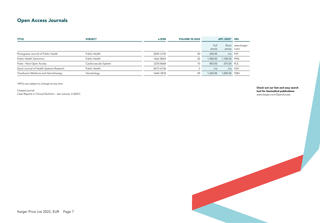### Open Access Journals

| <b>TITLE</b>                             | <b>SUBJECT</b>        | e-ISSN    | <b>VOLUME IN 2022</b> |                 | APC 2022* URL |                   |
|------------------------------------------|-----------------------|-----------|-----------------------|-----------------|---------------|-------------------|
|                                          |                       |           |                       | Full<br>article | article com/  | Short www.karger. |
| Portuguese Journal of Public Health      | Public Health         | 2504-3145 | 40                    | 250.00          |               | n/a PJP           |
| <b>Public Health Genomics</b>            | Public Health         | 1662-8063 | 25                    | 1,980.00        | 1,180.00 PHG  |                   |
| Pulse - Now Open Access                  | Cardiovascular System | 2235-8668 | 10 <sup>°</sup>       | 850.00          | 675.00 PLS    |                   |
| Saudi Journal of Health Systems Research | Public Health         | 2673-6136 |                       | n/a             |               | n/a SJH           |
| Transfusion Medicine and Hemotherapy     | Hematology            | 1660-3818 | 49                    | 1,425.00        | 1,000.00 TMH  |                   |

\*APCs are subject to change at any time

Ceased journal: Case Reports in Clinical Nutrition - last volume: 4 (2021) Check out our fast and easy search tool for biomedical publications *www.karger.com/OpenAccess*